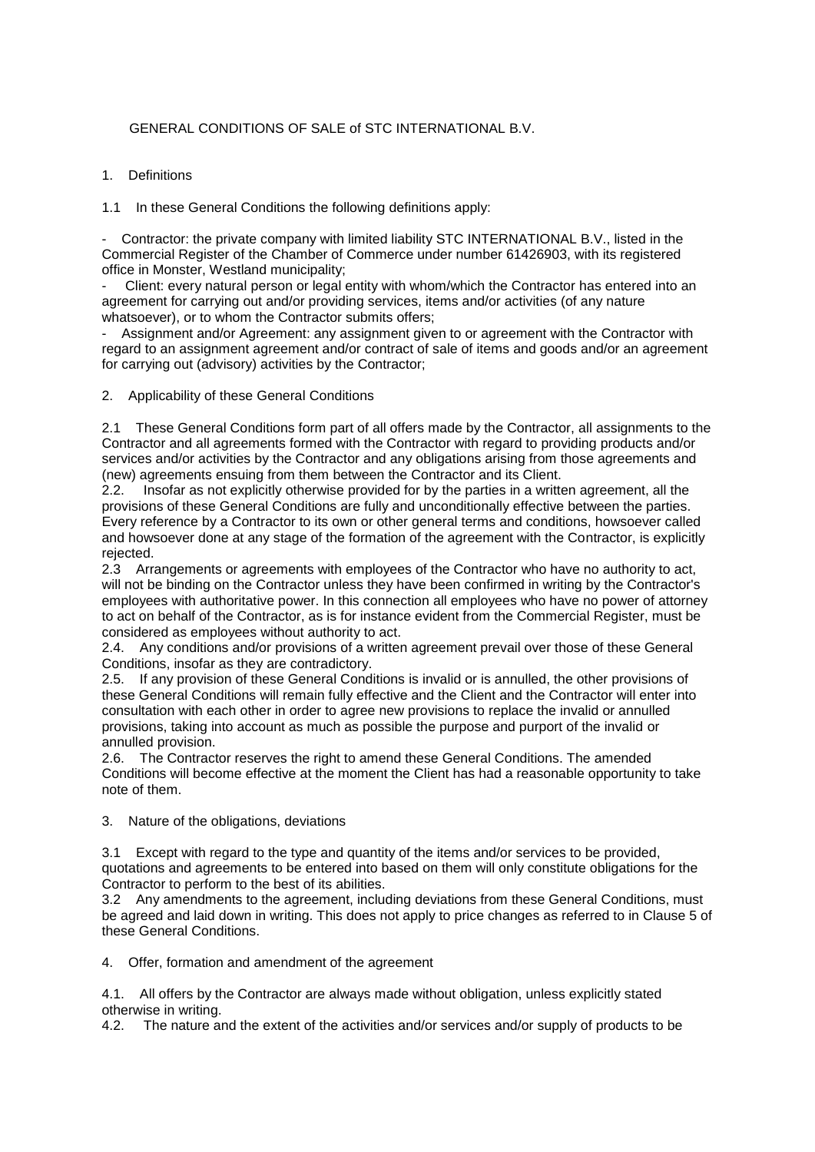# GENERAL CONDITIONS OF SALE of STC INTERNATIONAL B.V.

## 1. Definitions

1.1 In these General Conditions the following definitions apply:

- Contractor: the private company with limited liability STC INTERNATIONAL B.V., listed in the Commercial Register of the Chamber of Commerce under number 61426903, with its registered office in Monster, Westland municipality;

Client: every natural person or legal entity with whom/which the Contractor has entered into an agreement for carrying out and/or providing services, items and/or activities (of any nature whatsoever), or to whom the Contractor submits offers;

Assignment and/or Agreement: any assignment given to or agreement with the Contractor with regard to an assignment agreement and/or contract of sale of items and goods and/or an agreement for carrying out (advisory) activities by the Contractor;

2. Applicability of these General Conditions

2.1 These General Conditions form part of all offers made by the Contractor, all assignments to the Contractor and all agreements formed with the Contractor with regard to providing products and/or services and/or activities by the Contractor and any obligations arising from those agreements and (new) agreements ensuing from them between the Contractor and its Client.

2.2. Insofar as not explicitly otherwise provided for by the parties in a written agreement, all the provisions of these General Conditions are fully and unconditionally effective between the parties. Every reference by a Contractor to its own or other general terms and conditions, howsoever called and howsoever done at any stage of the formation of the agreement with the Contractor, is explicitly rejected.

2.3 Arrangements or agreements with employees of the Contractor who have no authority to act, will not be binding on the Contractor unless they have been confirmed in writing by the Contractor's employees with authoritative power. In this connection all employees who have no power of attorney to act on behalf of the Contractor, as is for instance evident from the Commercial Register, must be considered as employees without authority to act.

2.4. Any conditions and/or provisions of a written agreement prevail over those of these General Conditions, insofar as they are contradictory.

2.5. If any provision of these General Conditions is invalid or is annulled, the other provisions of these General Conditions will remain fully effective and the Client and the Contractor will enter into consultation with each other in order to agree new provisions to replace the invalid or annulled provisions, taking into account as much as possible the purpose and purport of the invalid or annulled provision.

2.6. The Contractor reserves the right to amend these General Conditions. The amended Conditions will become effective at the moment the Client has had a reasonable opportunity to take note of them.

3. Nature of the obligations, deviations

3.1 Except with regard to the type and quantity of the items and/or services to be provided, quotations and agreements to be entered into based on them will only constitute obligations for the Contractor to perform to the best of its abilities.

3.2 Any amendments to the agreement, including deviations from these General Conditions, must be agreed and laid down in writing. This does not apply to price changes as referred to in Clause 5 of these General Conditions.

4. Offer, formation and amendment of the agreement

4.1. All offers by the Contractor are always made without obligation, unless explicitly stated otherwise in writing.

4.2. The nature and the extent of the activities and/or services and/or supply of products to be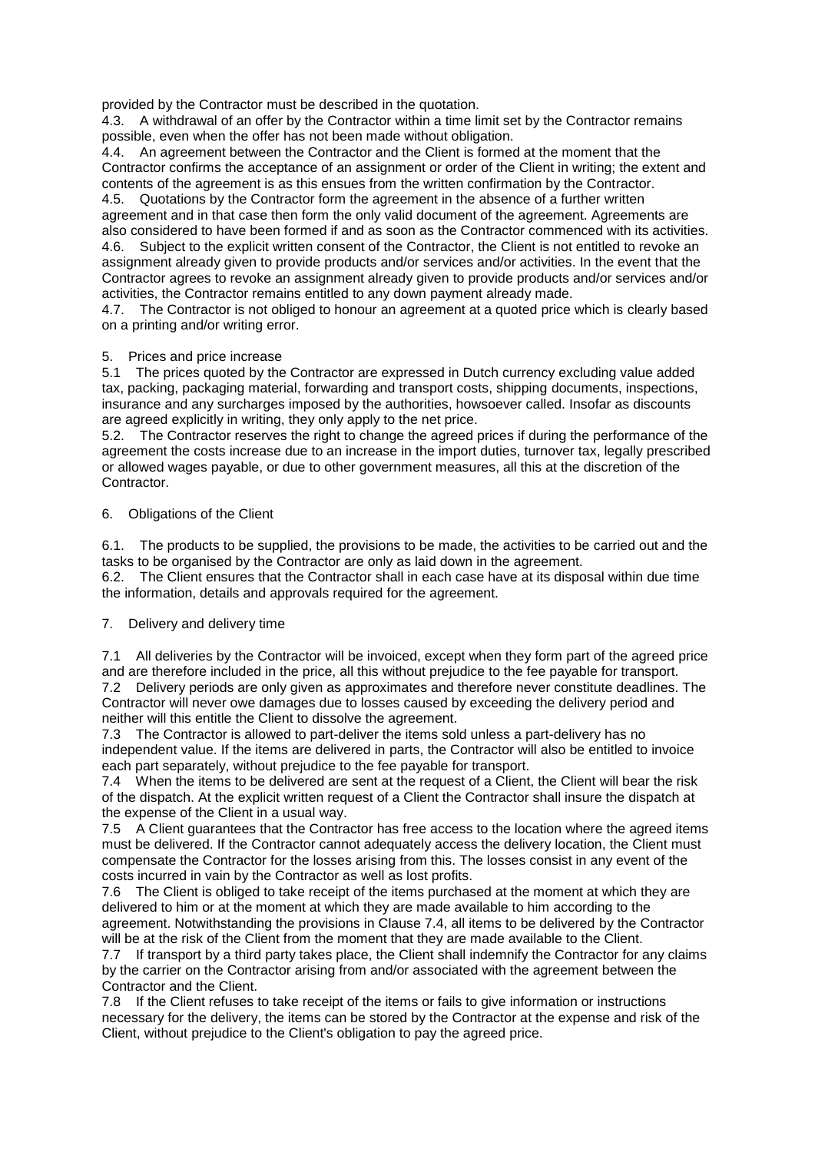provided by the Contractor must be described in the quotation.

4.3. A withdrawal of an offer by the Contractor within a time limit set by the Contractor remains possible, even when the offer has not been made without obligation.

4.4. An agreement between the Contractor and the Client is formed at the moment that the Contractor confirms the acceptance of an assignment or order of the Client in writing; the extent and contents of the agreement is as this ensues from the written confirmation by the Contractor.

4.5. Quotations by the Contractor form the agreement in the absence of a further written agreement and in that case then form the only valid document of the agreement. Agreements are also considered to have been formed if and as soon as the Contractor commenced with its activities. 4.6. Subject to the explicit written consent of the Contractor, the Client is not entitled to revoke an assignment already given to provide products and/or services and/or activities. In the event that the Contractor agrees to revoke an assignment already given to provide products and/or services and/or activities, the Contractor remains entitled to any down payment already made.

4.7. The Contractor is not obliged to honour an agreement at a quoted price which is clearly based on a printing and/or writing error.

### 5. Prices and price increase

5.1 The prices quoted by the Contractor are expressed in Dutch currency excluding value added tax, packing, packaging material, forwarding and transport costs, shipping documents, inspections, insurance and any surcharges imposed by the authorities, howsoever called. Insofar as discounts are agreed explicitly in writing, they only apply to the net price.

5.2. The Contractor reserves the right to change the agreed prices if during the performance of the agreement the costs increase due to an increase in the import duties, turnover tax, legally prescribed or allowed wages payable, or due to other government measures, all this at the discretion of the Contractor.

### 6. Obligations of the Client

6.1. The products to be supplied, the provisions to be made, the activities to be carried out and the tasks to be organised by the Contractor are only as laid down in the agreement.

6.2. The Client ensures that the Contractor shall in each case have at its disposal within due time the information, details and approvals required for the agreement.

## 7. Delivery and delivery time

7.1 All deliveries by the Contractor will be invoiced, except when they form part of the agreed price and are therefore included in the price, all this without prejudice to the fee payable for transport.

7.2 Delivery periods are only given as approximates and therefore never constitute deadlines. The Contractor will never owe damages due to losses caused by exceeding the delivery period and neither will this entitle the Client to dissolve the agreement.

7.3 The Contractor is allowed to part-deliver the items sold unless a part-delivery has no independent value. If the items are delivered in parts, the Contractor will also be entitled to invoice each part separately, without prejudice to the fee payable for transport.

7.4 When the items to be delivered are sent at the request of a Client, the Client will bear the risk of the dispatch. At the explicit written request of a Client the Contractor shall insure the dispatch at the expense of the Client in a usual way.

7.5 A Client guarantees that the Contractor has free access to the location where the agreed items must be delivered. If the Contractor cannot adequately access the delivery location, the Client must compensate the Contractor for the losses arising from this. The losses consist in any event of the costs incurred in vain by the Contractor as well as lost profits.

7.6 The Client is obliged to take receipt of the items purchased at the moment at which they are delivered to him or at the moment at which they are made available to him according to the agreement. Notwithstanding the provisions in Clause 7.4, all items to be delivered by the Contractor will be at the risk of the Client from the moment that they are made available to the Client.

7.7 If transport by a third party takes place, the Client shall indemnify the Contractor for any claims by the carrier on the Contractor arising from and/or associated with the agreement between the Contractor and the Client.

7.8 If the Client refuses to take receipt of the items or fails to give information or instructions necessary for the delivery, the items can be stored by the Contractor at the expense and risk of the Client, without prejudice to the Client's obligation to pay the agreed price.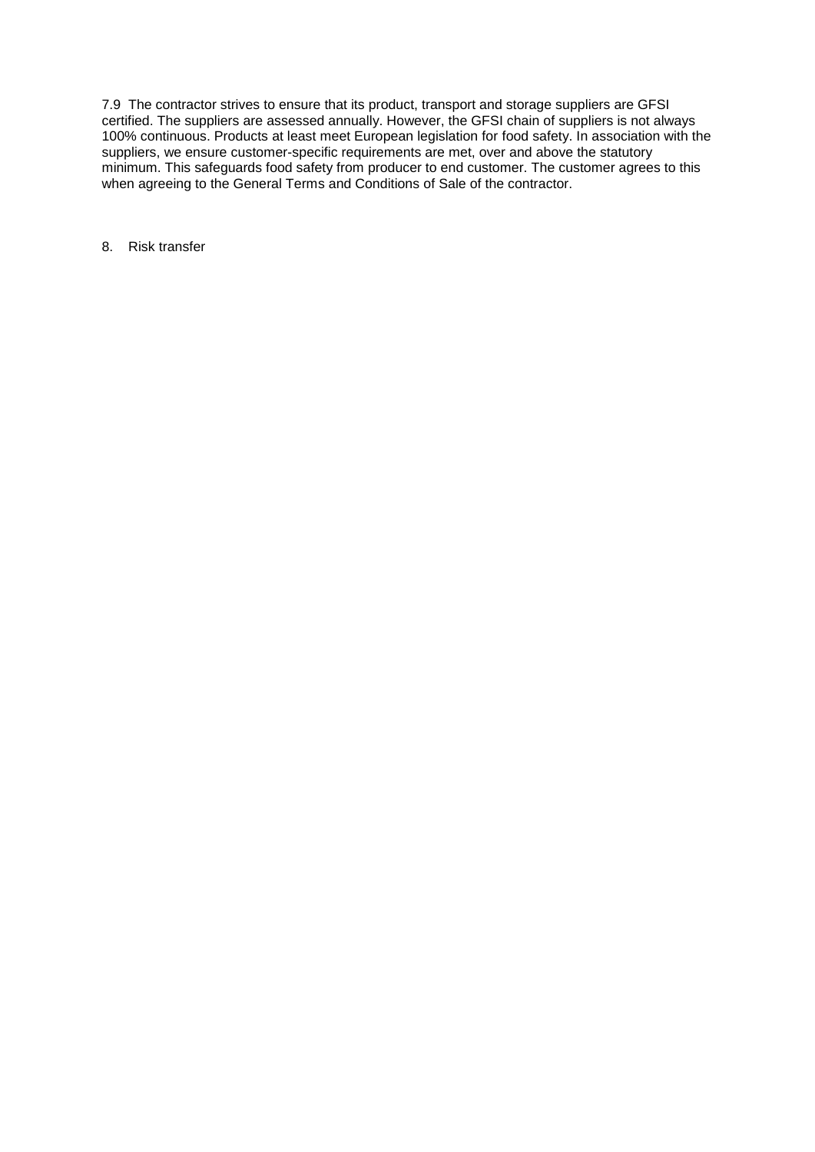7.9 The contractor strives to ensure that its product, transport and storage suppliers are GFSI certified. The suppliers are assessed annually. However, the GFSI chain of suppliers is not always 100% continuous. Products at least meet European legislation for food safety. In association with the suppliers, we ensure customer-specific requirements are met, over and above the statutory minimum. This safeguards food safety from producer to end customer. The customer agrees to this when agreeing to the General Terms and Conditions of Sale of the contractor.

8. Risk transfer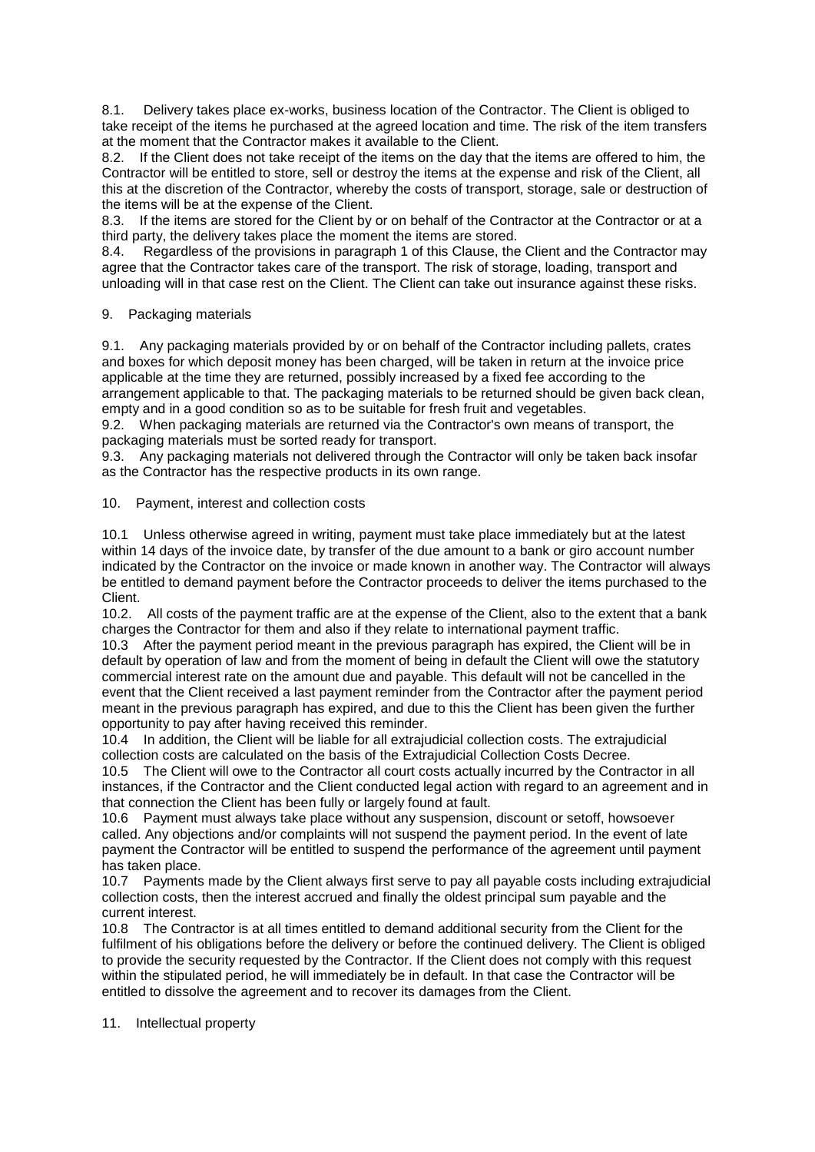8.1. Delivery takes place ex-works, business location of the Contractor. The Client is obliged to take receipt of the items he purchased at the agreed location and time. The risk of the item transfers at the moment that the Contractor makes it available to the Client.

8.2. If the Client does not take receipt of the items on the day that the items are offered to him, the Contractor will be entitled to store, sell or destroy the items at the expense and risk of the Client, all this at the discretion of the Contractor, whereby the costs of transport, storage, sale or destruction of the items will be at the expense of the Client.

8.3. If the items are stored for the Client by or on behalf of the Contractor at the Contractor or at a third party, the delivery takes place the moment the items are stored.

8.4. Regardless of the provisions in paragraph 1 of this Clause, the Client and the Contractor may agree that the Contractor takes care of the transport. The risk of storage, loading, transport and unloading will in that case rest on the Client. The Client can take out insurance against these risks.

### 9. Packaging materials

9.1. Any packaging materials provided by or on behalf of the Contractor including pallets, crates and boxes for which deposit money has been charged, will be taken in return at the invoice price applicable at the time they are returned, possibly increased by a fixed fee according to the arrangement applicable to that. The packaging materials to be returned should be given back clean, empty and in a good condition so as to be suitable for fresh fruit and vegetables.

9.2. When packaging materials are returned via the Contractor's own means of transport, the packaging materials must be sorted ready for transport.

9.3. Any packaging materials not delivered through the Contractor will only be taken back insofar as the Contractor has the respective products in its own range.

### 10. Payment, interest and collection costs

10.1 Unless otherwise agreed in writing, payment must take place immediately but at the latest within 14 days of the invoice date, by transfer of the due amount to a bank or giro account number indicated by the Contractor on the invoice or made known in another way. The Contractor will always be entitled to demand payment before the Contractor proceeds to deliver the items purchased to the Client.

10.2. All costs of the payment traffic are at the expense of the Client, also to the extent that a bank charges the Contractor for them and also if they relate to international payment traffic.

10.3 After the payment period meant in the previous paragraph has expired, the Client will be in default by operation of law and from the moment of being in default the Client will owe the statutory commercial interest rate on the amount due and payable. This default will not be cancelled in the event that the Client received a last payment reminder from the Contractor after the payment period meant in the previous paragraph has expired, and due to this the Client has been given the further opportunity to pay after having received this reminder.

10.4 In addition, the Client will be liable for all extrajudicial collection costs. The extrajudicial collection costs are calculated on the basis of the Extrajudicial Collection Costs Decree.

10.5 The Client will owe to the Contractor all court costs actually incurred by the Contractor in all instances, if the Contractor and the Client conducted legal action with regard to an agreement and in that connection the Client has been fully or largely found at fault.

10.6 Payment must always take place without any suspension, discount or setoff, howsoever called. Any objections and/or complaints will not suspend the payment period. In the event of late payment the Contractor will be entitled to suspend the performance of the agreement until payment has taken place.

10.7 Payments made by the Client always first serve to pay all payable costs including extrajudicial collection costs, then the interest accrued and finally the oldest principal sum payable and the current interest.

10.8 The Contractor is at all times entitled to demand additional security from the Client for the fulfilment of his obligations before the delivery or before the continued delivery. The Client is obliged to provide the security requested by the Contractor. If the Client does not comply with this request within the stipulated period, he will immediately be in default. In that case the Contractor will be entitled to dissolve the agreement and to recover its damages from the Client.

#### 11. Intellectual property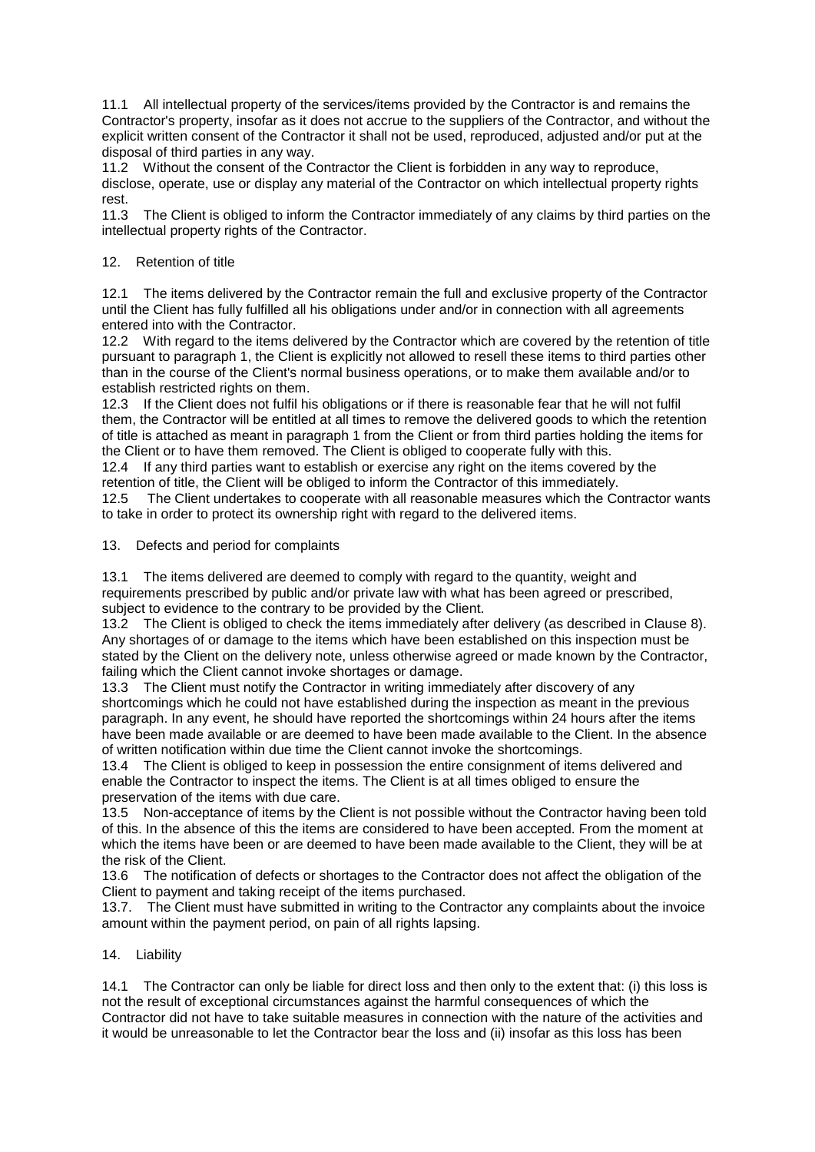11.1 All intellectual property of the services/items provided by the Contractor is and remains the Contractor's property, insofar as it does not accrue to the suppliers of the Contractor, and without the explicit written consent of the Contractor it shall not be used, reproduced, adjusted and/or put at the disposal of third parties in any way.

11.2 Without the consent of the Contractor the Client is forbidden in any way to reproduce, disclose, operate, use or display any material of the Contractor on which intellectual property rights rest.

11.3 The Client is obliged to inform the Contractor immediately of any claims by third parties on the intellectual property rights of the Contractor.

## 12. Retention of title

12.1 The items delivered by the Contractor remain the full and exclusive property of the Contractor until the Client has fully fulfilled all his obligations under and/or in connection with all agreements entered into with the Contractor.

12.2 With regard to the items delivered by the Contractor which are covered by the retention of title pursuant to paragraph 1, the Client is explicitly not allowed to resell these items to third parties other than in the course of the Client's normal business operations, or to make them available and/or to establish restricted rights on them.

12.3 If the Client does not fulfil his obligations or if there is reasonable fear that he will not fulfil them, the Contractor will be entitled at all times to remove the delivered goods to which the retention of title is attached as meant in paragraph 1 from the Client or from third parties holding the items for the Client or to have them removed. The Client is obliged to cooperate fully with this.

12.4 If any third parties want to establish or exercise any right on the items covered by the retention of title, the Client will be obliged to inform the Contractor of this immediately.

12.5 The Client undertakes to cooperate with all reasonable measures which the Contractor wants to take in order to protect its ownership right with regard to the delivered items.

13. Defects and period for complaints

13.1 The items delivered are deemed to comply with regard to the quantity, weight and requirements prescribed by public and/or private law with what has been agreed or prescribed, subject to evidence to the contrary to be provided by the Client.

13.2 The Client is obliged to check the items immediately after delivery (as described in Clause 8). Any shortages of or damage to the items which have been established on this inspection must be stated by the Client on the delivery note, unless otherwise agreed or made known by the Contractor, failing which the Client cannot invoke shortages or damage.

13.3 The Client must notify the Contractor in writing immediately after discovery of any shortcomings which he could not have established during the inspection as meant in the previous paragraph. In any event, he should have reported the shortcomings within 24 hours after the items have been made available or are deemed to have been made available to the Client. In the absence of written notification within due time the Client cannot invoke the shortcomings.

13.4 The Client is obliged to keep in possession the entire consignment of items delivered and enable the Contractor to inspect the items. The Client is at all times obliged to ensure the preservation of the items with due care.

13.5 Non-acceptance of items by the Client is not possible without the Contractor having been told of this. In the absence of this the items are considered to have been accepted. From the moment at which the items have been or are deemed to have been made available to the Client, they will be at the risk of the Client.

13.6 The notification of defects or shortages to the Contractor does not affect the obligation of the Client to payment and taking receipt of the items purchased.

13.7. The Client must have submitted in writing to the Contractor any complaints about the invoice amount within the payment period, on pain of all rights lapsing.

#### 14. Liability

14.1 The Contractor can only be liable for direct loss and then only to the extent that: (i) this loss is not the result of exceptional circumstances against the harmful consequences of which the Contractor did not have to take suitable measures in connection with the nature of the activities and it would be unreasonable to let the Contractor bear the loss and (ii) insofar as this loss has been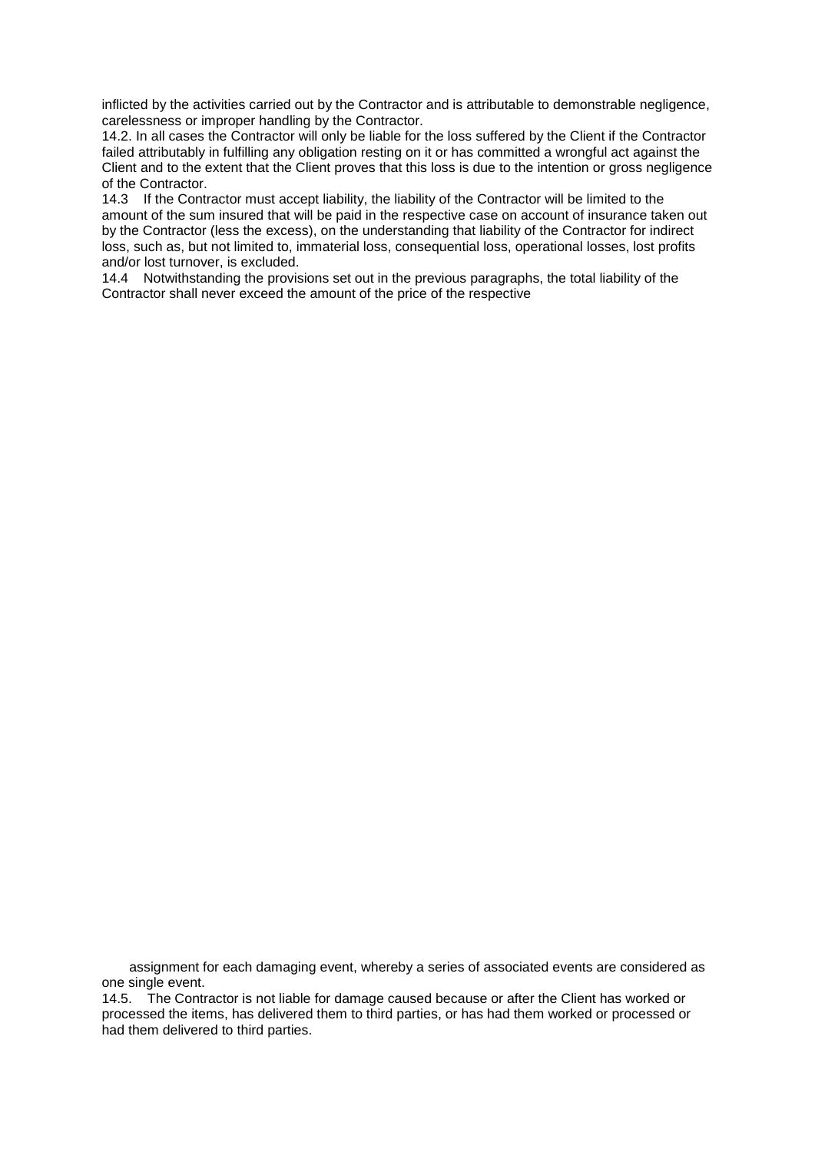inflicted by the activities carried out by the Contractor and is attributable to demonstrable negligence, carelessness or improper handling by the Contractor.

14.2. In all cases the Contractor will only be liable for the loss suffered by the Client if the Contractor failed attributably in fulfilling any obligation resting on it or has committed a wrongful act against the Client and to the extent that the Client proves that this loss is due to the intention or gross negligence of the Contractor.

14.3 If the Contractor must accept liability, the liability of the Contractor will be limited to the amount of the sum insured that will be paid in the respective case on account of insurance taken out by the Contractor (less the excess), on the understanding that liability of the Contractor for indirect loss, such as, but not limited to, immaterial loss, consequential loss, operational losses, lost profits and/or lost turnover, is excluded.

14.4 Notwithstanding the provisions set out in the previous paragraphs, the total liability of the Contractor shall never exceed the amount of the price of the respective

assignment for each damaging event, whereby a series of associated events are considered as one single event.

14.5. The Contractor is not liable for damage caused because or after the Client has worked or processed the items, has delivered them to third parties, or has had them worked or processed or had them delivered to third parties.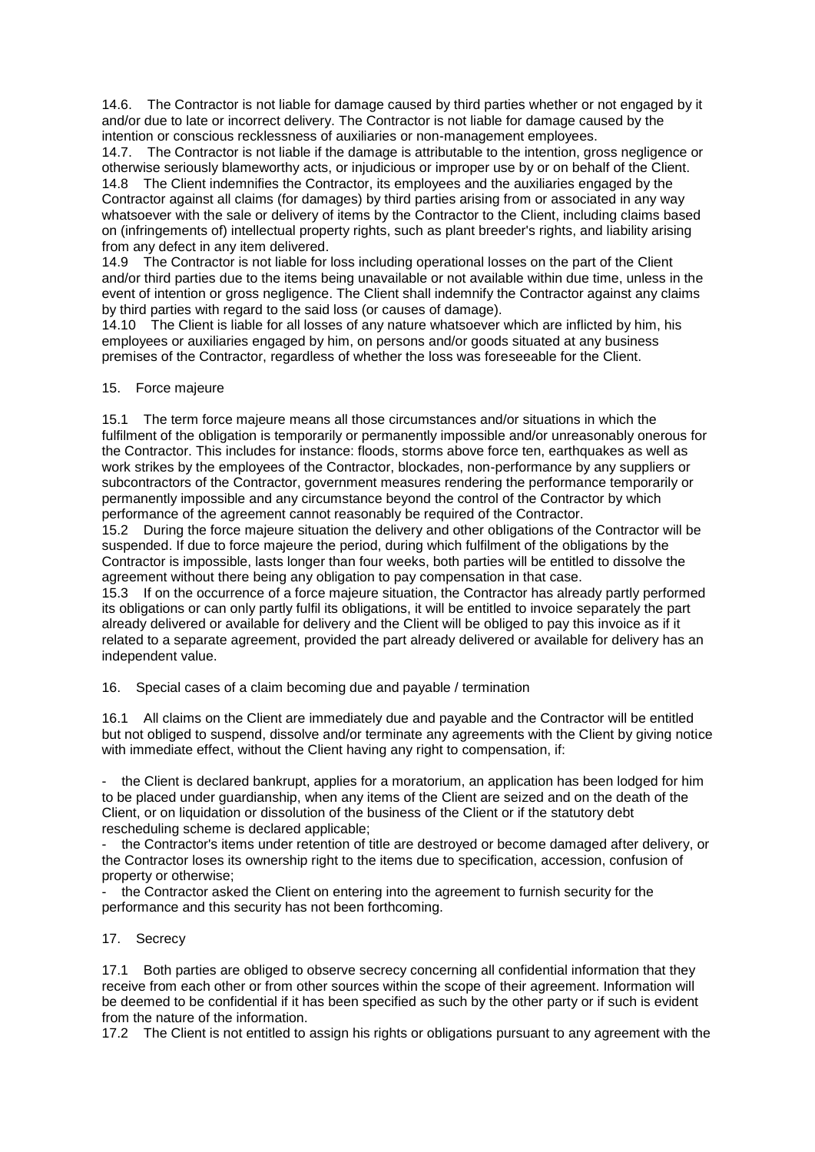14.6. The Contractor is not liable for damage caused by third parties whether or not engaged by it and/or due to late or incorrect delivery. The Contractor is not liable for damage caused by the intention or conscious recklessness of auxiliaries or non-management employees.

14.7. The Contractor is not liable if the damage is attributable to the intention, gross negligence or otherwise seriously blameworthy acts, or injudicious or improper use by or on behalf of the Client. 14.8 The Client indemnifies the Contractor, its employees and the auxiliaries engaged by the Contractor against all claims (for damages) by third parties arising from or associated in any way whatsoever with the sale or delivery of items by the Contractor to the Client, including claims based on (infringements of) intellectual property rights, such as plant breeder's rights, and liability arising from any defect in any item delivered.

14.9 The Contractor is not liable for loss including operational losses on the part of the Client and/or third parties due to the items being unavailable or not available within due time, unless in the event of intention or gross negligence. The Client shall indemnify the Contractor against any claims by third parties with regard to the said loss (or causes of damage).

14.10 The Client is liable for all losses of any nature whatsoever which are inflicted by him, his employees or auxiliaries engaged by him, on persons and/or goods situated at any business premises of the Contractor, regardless of whether the loss was foreseeable for the Client.

## 15. Force majeure

15.1 The term force majeure means all those circumstances and/or situations in which the fulfilment of the obligation is temporarily or permanently impossible and/or unreasonably onerous for the Contractor. This includes for instance: floods, storms above force ten, earthquakes as well as work strikes by the employees of the Contractor, blockades, non-performance by any suppliers or subcontractors of the Contractor, government measures rendering the performance temporarily or permanently impossible and any circumstance beyond the control of the Contractor by which performance of the agreement cannot reasonably be required of the Contractor.

15.2 During the force majeure situation the delivery and other obligations of the Contractor will be suspended. If due to force majeure the period, during which fulfilment of the obligations by the Contractor is impossible, lasts longer than four weeks, both parties will be entitled to dissolve the agreement without there being any obligation to pay compensation in that case.

15.3 If on the occurrence of a force majeure situation, the Contractor has already partly performed its obligations or can only partly fulfil its obligations, it will be entitled to invoice separately the part already delivered or available for delivery and the Client will be obliged to pay this invoice as if it related to a separate agreement, provided the part already delivered or available for delivery has an independent value.

16. Special cases of a claim becoming due and payable / termination

16.1 All claims on the Client are immediately due and payable and the Contractor will be entitled but not obliged to suspend, dissolve and/or terminate any agreements with the Client by giving notice with immediate effect, without the Client having any right to compensation, if:

the Client is declared bankrupt, applies for a moratorium, an application has been lodged for him to be placed under guardianship, when any items of the Client are seized and on the death of the Client, or on liquidation or dissolution of the business of the Client or if the statutory debt rescheduling scheme is declared applicable;

- the Contractor's items under retention of title are destroyed or become damaged after delivery, or the Contractor loses its ownership right to the items due to specification, accession, confusion of property or otherwise;

the Contractor asked the Client on entering into the agreement to furnish security for the performance and this security has not been forthcoming.

## 17. Secrecy

17.1 Both parties are obliged to observe secrecy concerning all confidential information that they receive from each other or from other sources within the scope of their agreement. Information will be deemed to be confidential if it has been specified as such by the other party or if such is evident from the nature of the information.

17.2 The Client is not entitled to assign his rights or obligations pursuant to any agreement with the